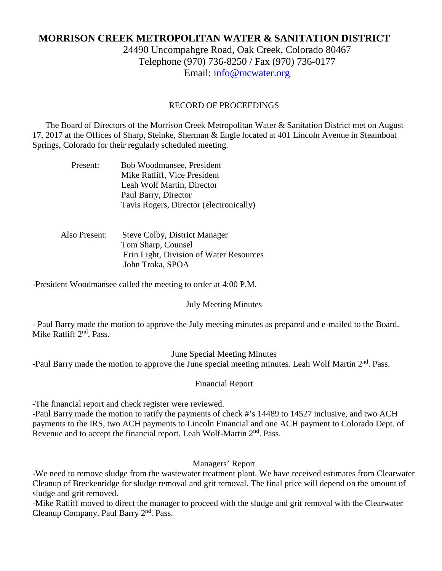# **MORRISON CREEK METROPOLITAN WATER & SANITATION DISTRICT**

24490 Uncompahgre Road, Oak Creek, Colorado 80467 Telephone (970) 736-8250 / Fax (970) 736-0177 Email: [info@mcwater.org](mailto:info@mcwater.org)

#### RECORD OF PROCEEDINGS

 The Board of Directors of the Morrison Creek Metropolitan Water & Sanitation District met on August 17, 2017 at the Offices of Sharp, Steinke, Sherman & Engle located at 401 Lincoln Avenue in Steamboat Springs, Colorado for their regularly scheduled meeting.

| Present: | Bob Woodmansee, President               |
|----------|-----------------------------------------|
|          | Mike Ratliff, Vice President            |
|          | Leah Wolf Martin, Director              |
|          | Paul Barry, Director                    |
|          | Tavis Rogers, Director (electronically) |

## Also Present: Steve Colby, District Manager Tom Sharp, Counsel Erin Light, Division of Water Resources John Troka, SPOA

-President Woodmansee called the meeting to order at 4:00 P.M.

### July Meeting Minutes

- Paul Barry made the motion to approve the July meeting minutes as prepared and e-mailed to the Board. Mike Ratliff 2<sup>nd</sup>, Pass.

June Special Meeting Minutes

-Paul Barry made the motion to approve the June special meeting minutes. Leah Wolf Martin 2<sup>nd</sup>. Pass.

### Financial Report

-The financial report and check register were reviewed.

-Paul Barry made the motion to ratify the payments of check #'s 14489 to 14527 inclusive, and two ACH payments to the IRS, two ACH payments to Lincoln Financial and one ACH payment to Colorado Dept. of Revenue and to accept the financial report. Leah Wolf-Martin 2<sup>nd</sup>. Pass.

## Managers' Report

-We need to remove sludge from the wastewater treatment plant. We have received estimates from Clearwater Cleanup of Breckenridge for sludge removal and grit removal. The final price will depend on the amount of sludge and grit removed.

-Mike Ratliff moved to direct the manager to proceed with the sludge and grit removal with the Clearwater Cleanup Company. Paul Barry 2<sup>nd</sup>. Pass.